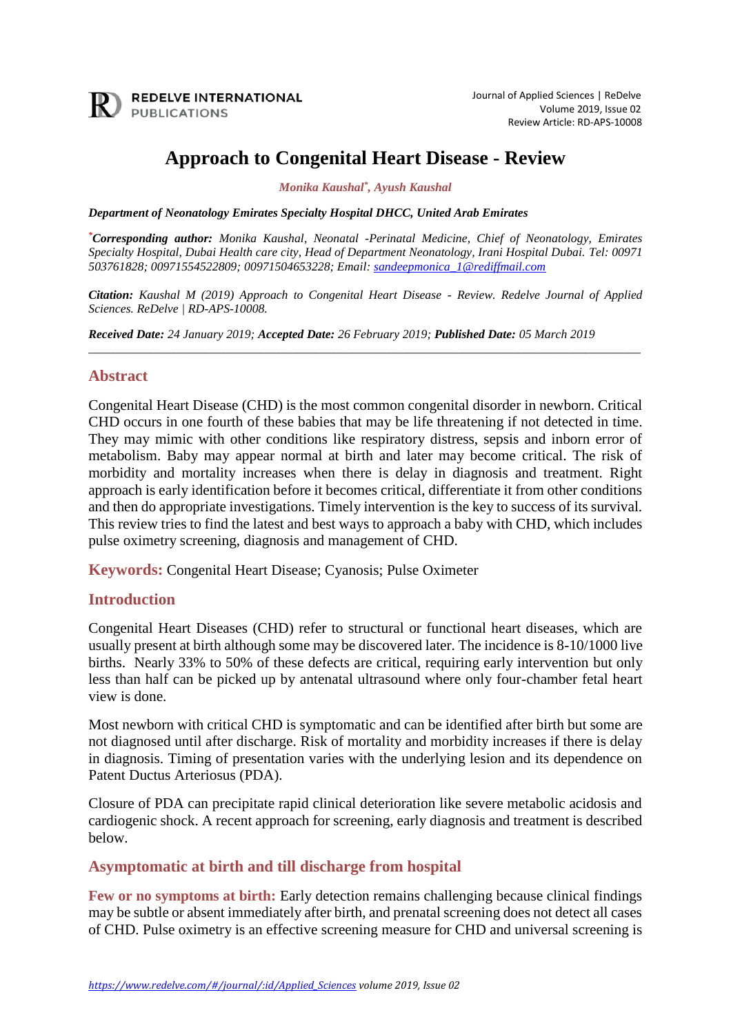

# **Approach to Congenital Heart Disease - Review**

*Monika Kaushal\* , Ayush Kaushal*

*Department of Neonatology Emirates Specialty Hospital DHCC, United Arab Emirates*

*\*Corresponding author: Monika Kaushal, Neonatal -Perinatal Medicine, Chief of Neonatology, Emirates Specialty Hospital, Dubai Health care city, Head of Department Neonatology, Irani Hospital Dubai. Tel: 00971 503761828; 00971554522809; 00971504653228; Email: [sandeepmonica\\_1@rediffmail.com](mailto:sandeepmonica_1@rediffmail.com)*

*Citation: Kaushal M (2019) Approach to Congenital Heart Disease - Review. Redelve Journal of Applied Sciences. ReDelve | RD-APS-10008.*

\_\_\_\_\_\_\_\_\_\_\_\_\_\_\_\_\_\_\_\_\_\_\_\_\_\_\_\_\_\_\_\_\_\_\_\_\_\_\_\_\_\_\_\_\_\_\_\_\_\_\_\_\_\_\_\_\_\_\_\_\_\_\_\_\_\_\_\_\_\_\_\_\_\_\_\_\_\_\_\_\_\_\_\_\_\_\_\_\_\_

*Received Date: 24 January 2019; Accepted Date: 26 February 2019; Published Date: 05 March 2019*

#### **Abstract**

Congenital Heart Disease (CHD) is the most common congenital disorder in newborn. Critical CHD occurs in one fourth of these babies that may be life threatening if not detected in time. They may mimic with other conditions like respiratory distress, sepsis and inborn error of metabolism. Baby may appear normal at birth and later may become critical. The risk of morbidity and mortality increases when there is delay in diagnosis and treatment. Right approach is early identification before it becomes critical, differentiate it from other conditions and then do appropriate investigations. Timely intervention is the key to success of its survival. This review tries to find the latest and best ways to approach a baby with CHD, which includes pulse oximetry screening, diagnosis and management of CHD.

**Keywords:** Congenital Heart Disease; Cyanosis; Pulse Oximeter

## **Introduction**

Congenital Heart Diseases (CHD) refer to structural or functional heart diseases, which are usually present at birth although some may be discovered later. The incidence is 8-10/1000 live births. Nearly 33% to 50% of these defects are critical, requiring early intervention but only less than half can be picked up by antenatal ultrasound where only four-chamber fetal heart view is done.

Most newborn with critical CHD is symptomatic and can be identified after birth but some are not diagnosed until after discharge. Risk of mortality and morbidity increases if there is delay in diagnosis. Timing of presentation varies with the underlying lesion and its dependence on Patent Ductus Arteriosus (PDA).

Closure of PDA can precipitate rapid clinical deterioration like severe metabolic acidosis and cardiogenic shock. A recent approach for screening, early diagnosis and treatment is described below.

## **Asymptomatic at birth and till discharge from hospital**

**Few or no symptoms at birth:** Early detection remains challenging because clinical findings may be subtle or absent immediately after birth, and prenatal screening does not detect all cases of CHD. Pulse oximetry is an effective screening measure for CHD and universal screening is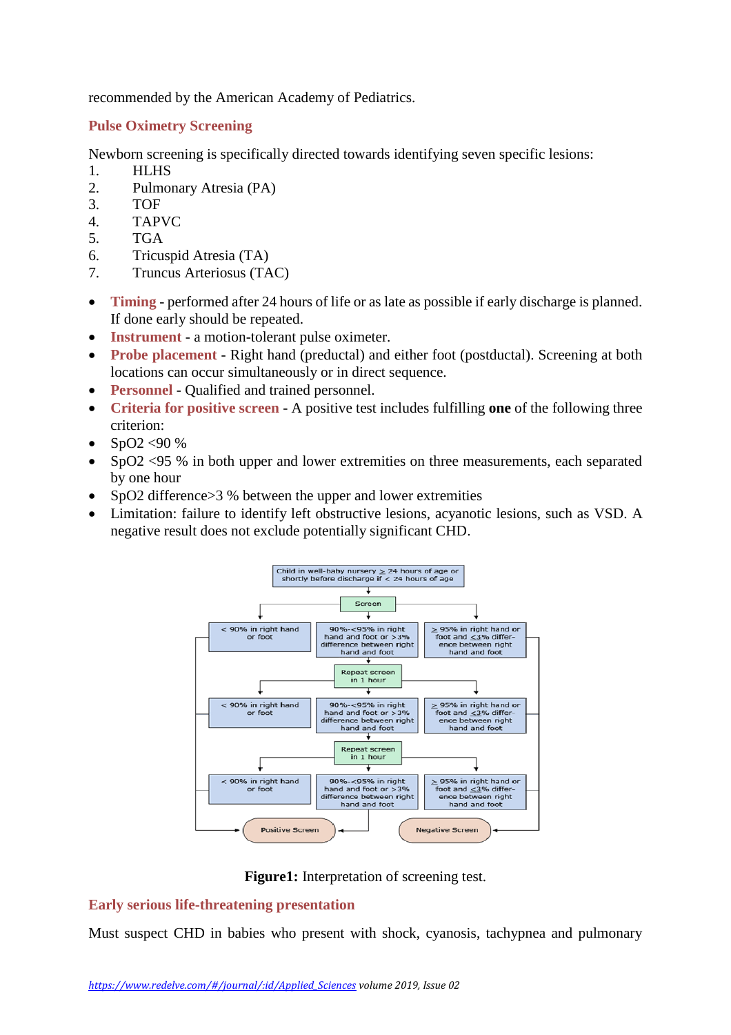recommended by the American Academy of Pediatrics.

## **Pulse Oximetry Screening**

Newborn screening is specifically directed towards identifying seven specific lesions:

- 1. HLHS
- 2. Pulmonary Atresia (PA)
- 3. TOF
- 4. TAPVC
- 5. TGA
- 6. Tricuspid Atresia (TA)
- 7. Truncus Arteriosus (TAC)
- **Timing** performed after 24 hours of life or as late as possible if early discharge is planned. If done early should be repeated.
- **Instrument** a motion-tolerant pulse oximeter.
- **Probe placement** Right hand (preductal) and either foot (postductal). Screening at both locations can occur simultaneously or in direct sequence.
- **Personnel** Qualified and trained personnel.
- **Criteria for positive screen** A positive test includes fulfilling **one** of the following three criterion:
- SpO2 <90 %
- SpO2 <95 % in both upper and lower extremities on three measurements, each separated by one hour
- SpO2 difference  $>$ 3 % between the upper and lower extremities
- Limitation: failure to identify left obstructive lesions, acyanotic lesions, such as VSD. A negative result does not exclude potentially significant CHD.



**Figure1:** Interpretation of screening test.

## **Early serious life-threatening presentation**

Must suspect CHD in babies who present with shock, cyanosis, tachypnea and pulmonary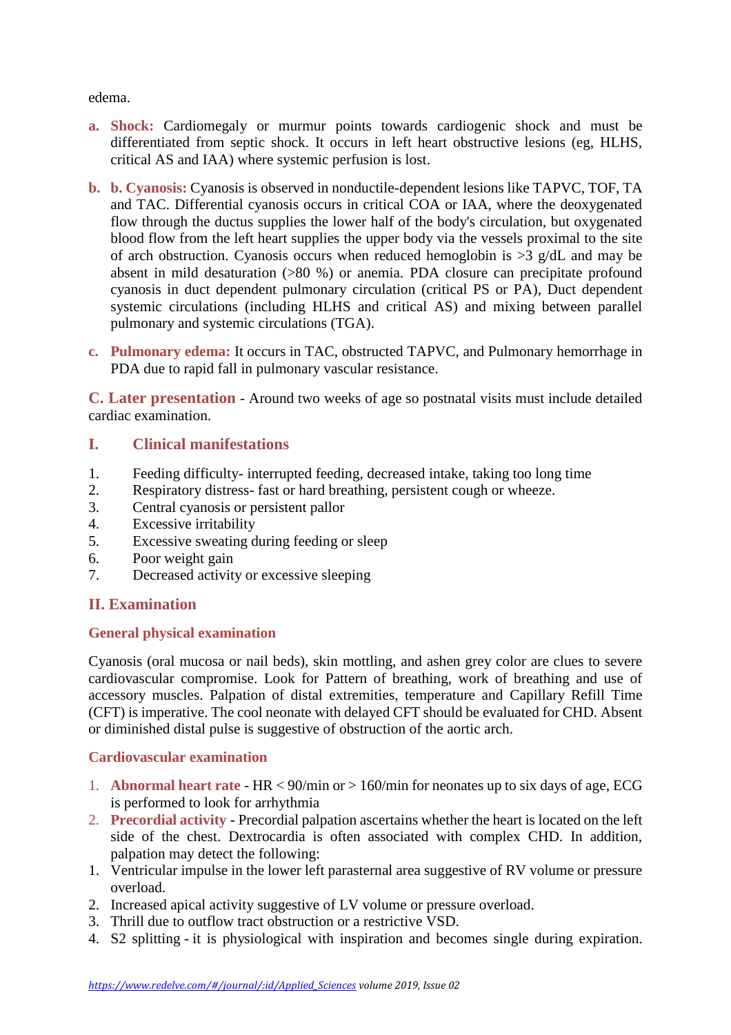edema.

- **a. Shock:** Cardiomegaly or murmur points towards cardiogenic shock and must be differentiated from septic shock. It occurs in left heart obstructive lesions (eg, HLHS, critical AS and IAA) where systemic perfusion is lost.
- **b. b. Cyanosis:** Cyanosis is observed in nonductile-dependent lesions like TAPVC, TOF, TA and TAC. Differential cyanosis occurs in critical COA or IAA, where the deoxygenated flow through the ductus supplies the lower half of the body's circulation, but oxygenated blood flow from the left heart supplies the upper body via the vessels proximal to the site of arch obstruction. Cyanosis occurs when reduced hemoglobin is  $>3$  g/dL and may be absent in mild desaturation (>80 %) or anemia. PDA closure can precipitate profound cyanosis in duct dependent pulmonary circulation (critical PS or PA), Duct dependent systemic circulations (including HLHS and critical AS) and mixing between parallel pulmonary and systemic circulations (TGA).
- **c. Pulmonary edema:** It occurs in TAC, obstructed TAPVC, and Pulmonary hemorrhage in PDA due to rapid fall in pulmonary vascular resistance.

**C. Later presentation** - Around two weeks of age so postnatal visits must include detailed cardiac examination.

# **I. Clinical manifestations**

- 1. Feeding difficulty- interrupted feeding, decreased intake, taking too long time
- 2. Respiratory distress- fast or hard breathing, persistent cough or wheeze.
- 3. Central cyanosis or persistent pallor
- 4. Excessive irritability
- 5. Excessive sweating during feeding or sleep
- 6. Poor weight gain
- 7. Decreased activity or excessive sleeping

# **II. Examination**

## **General physical examination**

Cyanosis (oral mucosa or nail beds), skin mottling, and ashen grey color are clues to severe cardiovascular compromise. Look for Pattern of breathing, work of breathing and use of accessory muscles. Palpation of distal extremities, temperature and Capillary Refill Time (CFT) is imperative. The cool neonate with delayed CFT should be evaluated for CHD. Absent or diminished distal pulse is suggestive of obstruction of the aortic arch.

# **Cardiovascular examination**

- 1. **Abnormal heart rate** HR < 90/min or > 160/min for neonates up to six days of age, ECG is performed to look for arrhythmia
- 2. **Precordial activity** Precordial palpation ascertains whether the heart is located on the left side of the chest. Dextrocardia is often associated with complex CHD. In addition, palpation may detect the following:
- 1. Ventricular impulse in the lower left parasternal area suggestive of RV volume or pressure overload.
- 2. Increased apical activity suggestive of LV volume or pressure overload.
- 3. Thrill due to outflow tract obstruction or a restrictive VSD.
- 4. S2 splitting it is physiological with inspiration and becomes single during expiration.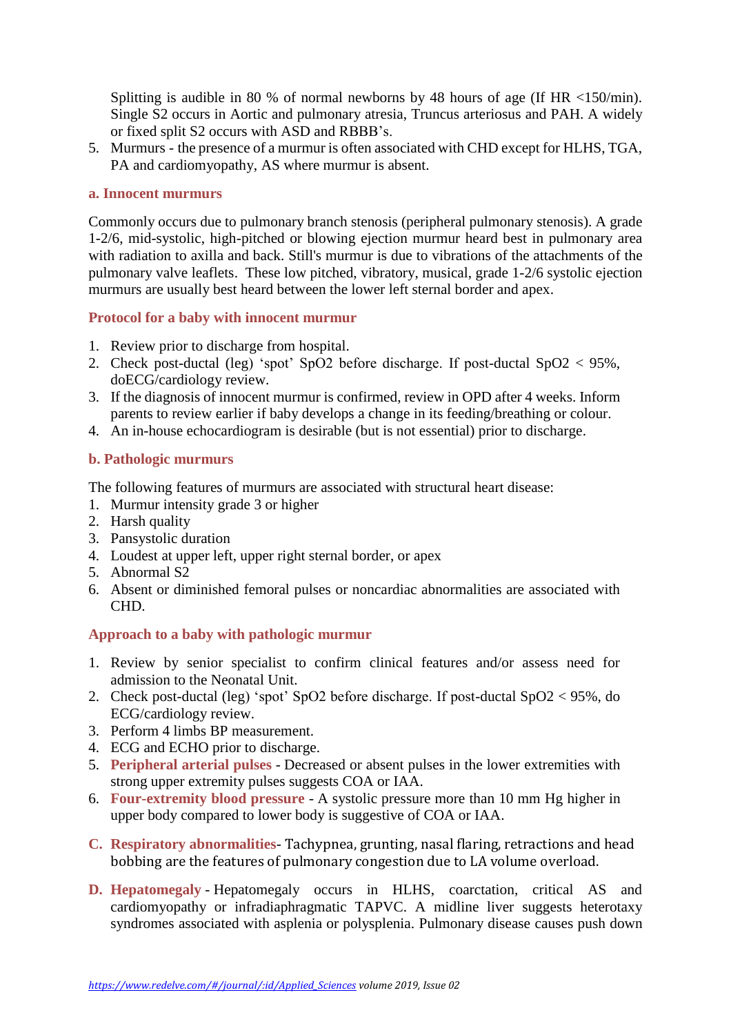Splitting is audible in 80 % of normal newborns by 48 hours of age (If HR <150/min). Single S2 occurs in Aortic and pulmonary atresia, Truncus arteriosus and PAH. A widely or fixed split S2 occurs with ASD and RBBB's.

5. Murmurs - the presence of a murmur is often associated with CHD except for HLHS, TGA, PA and cardiomyopathy, AS where murmur is absent.

#### **a. Innocent murmurs**

Commonly occurs due to pulmonary branch stenosis (peripheral pulmonary stenosis). A grade 1-2/6, mid-systolic, high-pitched or blowing ejection murmur heard best in pulmonary area with radiation to axilla and back. Still's murmur is due to vibrations of the attachments of the pulmonary valve leaflets. These low pitched, vibratory, musical, grade 1-2/6 systolic ejection murmurs are usually best heard between the lower left sternal border and apex.

## **Protocol for a baby with innocent murmur**

- 1. Review prior to discharge from hospital.
- 2. Check post-ductal (leg) 'spot' SpO2 before discharge. If post-ductal SpO2 < 95%, doECG/cardiology review.
- 3. If the diagnosis of innocent murmur is confirmed, review in OPD after 4 weeks. Inform parents to review earlier if baby develops a change in its feeding/breathing or colour.
- 4. An in-house echocardiogram is desirable (but is not essential) prior to discharge.

## **b. Pathologic murmurs**

The following features of murmurs are associated with structural heart disease:

- 1. Murmur intensity grade 3 or higher
- 2. Harsh quality
- 3. Pansystolic duration
- 4. Loudest at upper left, upper right sternal border, or apex
- 5. Abnormal S2
- 6. Absent or diminished femoral pulses or noncardiac abnormalities are associated with CHD.

## **Approach to a baby with pathologic murmur**

- 1. Review by senior specialist to confirm clinical features and/or assess need for admission to the Neonatal Unit.
- 2. Check post-ductal (leg) 'spot' SpO2 before discharge. If post-ductal SpO2 < 95%, do ECG/cardiology review.
- 3. Perform 4 limbs BP measurement.
- 4. ECG and ECHO prior to discharge.
- 5. **Peripheral arterial pulses** Decreased or absent pulses in the lower extremities with strong upper extremity pulses suggests COA or IAA.
- 6. **Four-extremity blood pressure** A systolic pressure more than 10 mm Hg higher in upper body compared to lower body is suggestive of COA or IAA.
- **C. Respiratory abnormalities** Tachypnea, grunting, nasal flaring, retractions and head bobbing are the features of pulmonary congestion due to LA volume overload.
- **D. Hepatomegaly** Hepatomegaly occurs in HLHS, coarctation, critical AS and cardiomyopathy or infradiaphragmatic TAPVC. A midline liver suggests heterotaxy syndromes associated with asplenia or polysplenia. Pulmonary disease causes push down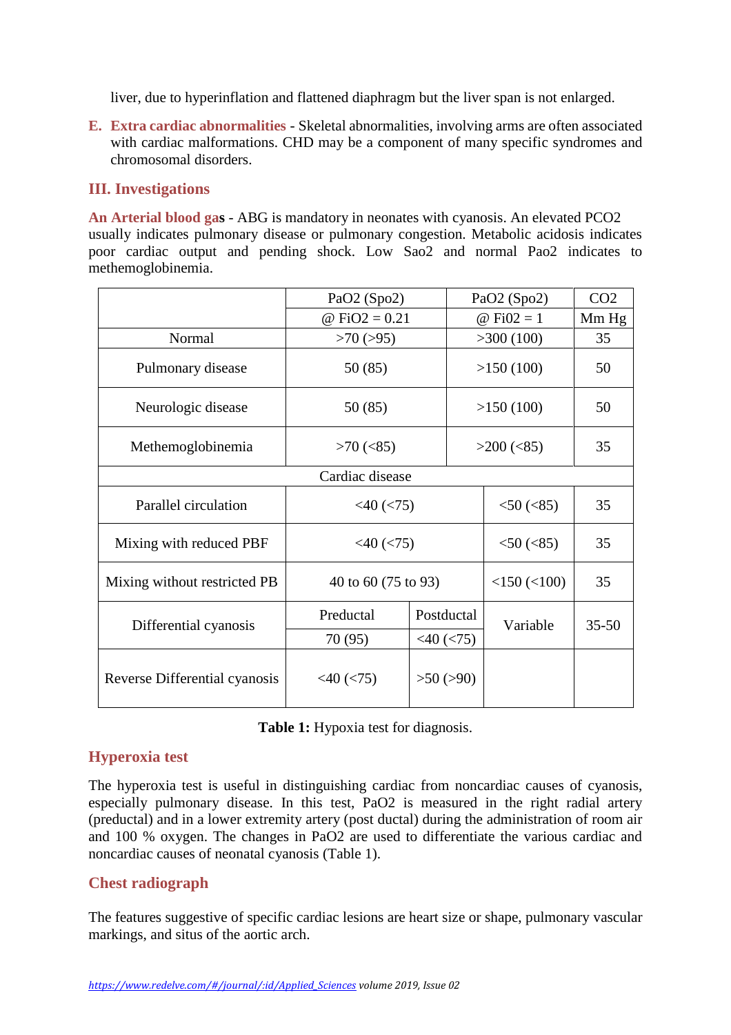liver, due to hyperinflation and flattened diaphragm but the liver span is not enlarged.

**E. Extra cardiac abnormalities** - Skeletal abnormalities, involving arms are often associated with cardiac malformations. CHD may be a component of many specific syndromes and chromosomal disorders.

## **III. Investigations**

**An Arterial blood gas** - ABG is mandatory in neonates with cyanosis. An elevated PCO2 usually indicates pulmonary disease or pulmonary congestion. Metabolic acidosis indicates poor cardiac output and pending shock. Low Sao2 and normal Pao2 indicates to methemoglobinemia.

|                               | PaO2 (Spo2)         |                  | PaO2 (Spo2)       | CO <sub>2</sub> |  |  |  |
|-------------------------------|---------------------|------------------|-------------------|-----------------|--|--|--|
|                               | @ FiO2 = $0.21$     |                  | @ Fi $02 = 1$     | Mm Hg           |  |  |  |
| Normal                        | $>70$ ( $>95$ )     |                  | >300(100)         | 35              |  |  |  |
| Pulmonary disease             | 50 (85)             |                  | >150(100)         | 50              |  |  |  |
| Neurologic disease            | 50 (85)             |                  | >150(100)         | 50              |  |  |  |
| Methemoglobinemia             | $>70$ (<85)         |                  | $>200$ (<85)      | 35              |  |  |  |
| Cardiac disease               |                     |                  |                   |                 |  |  |  |
| Parallel circulation          | $<$ 40 ( $<$ 75)    | $<$ 50 ( $<$ 85) | 35                |                 |  |  |  |
| Mixing with reduced PBF       | $<$ 40 $(<$ 75)     | $<$ 50 ( $<$ 85) | 35                |                 |  |  |  |
| Mixing without restricted PB  | 40 to 60 (75 to 93) |                  | $<$ 150 $(<$ 100) | 35              |  |  |  |
| Differential cyanosis         | Preductal           | Postductal       | Variable          | $35 - 50$       |  |  |  |
|                               | 70 (95)             | $<$ 40 ( $<$ 75) |                   |                 |  |  |  |
| Reverse Differential cyanosis | $<$ 40 ( $<$ 75)    | $>50$ ( $>90$ )  |                   |                 |  |  |  |

**Table 1:** Hypoxia test for diagnosis.

# **Hyperoxia test**

The hyperoxia test is useful in distinguishing cardiac from noncardiac causes of cyanosis, especially pulmonary disease. In this test, PaO2 is measured in the right radial artery (preductal) and in a lower extremity artery (post ductal) during the administration of room air and 100 % oxygen. The changes in PaO2 are used to differentiate the various cardiac and noncardiac causes of neonatal cyanosis (Table 1).

# **Chest radiograph**

The features suggestive of specific cardiac lesions are heart size or shape, pulmonary vascular markings, and situs of the aortic arch.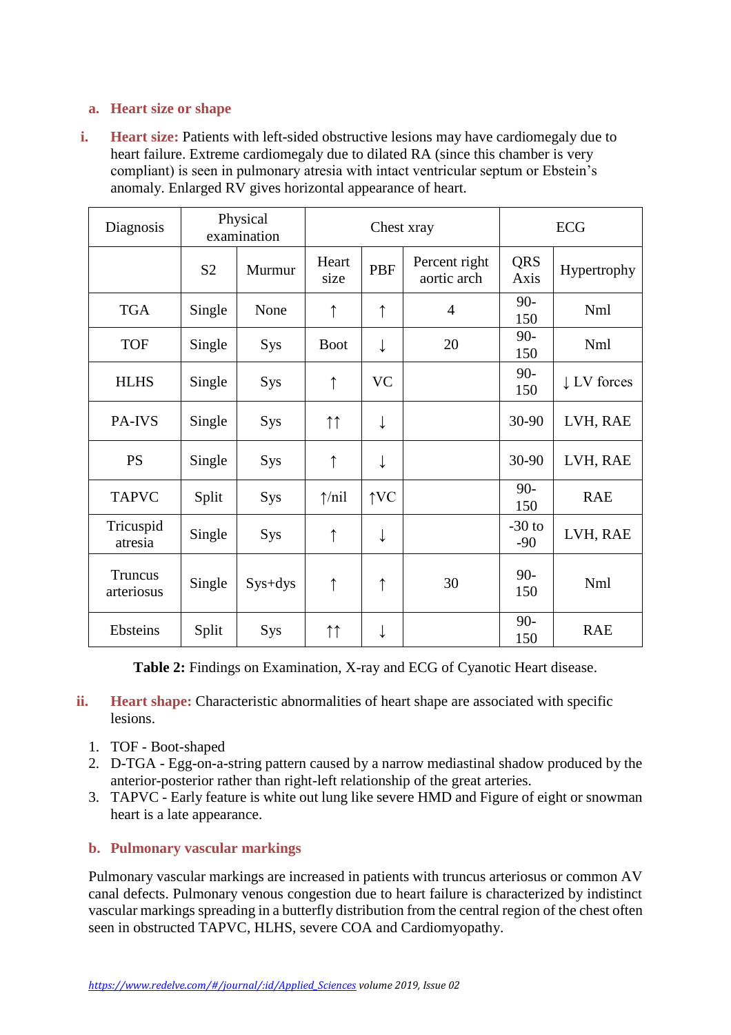## **a. Heart size or shape**

**i. Heart size:** Patients with left-sided obstructive lesions may have cardiomegaly due to heart failure. Extreme cardiomegaly due to dilated RA (since this chamber is very compliant) is seen in pulmonary atresia with intact ventricular septum or Ebstein's anomaly. Enlarged RV gives horizontal appearance of heart.

| Diagnosis             |                | Physical<br>examination | Chest xray         |               |                              | <b>ECG</b>         |                        |
|-----------------------|----------------|-------------------------|--------------------|---------------|------------------------------|--------------------|------------------------|
|                       | S <sub>2</sub> | Murmur                  | Heart<br>size      | PBF           | Percent right<br>aortic arch | <b>QRS</b><br>Axis | Hypertrophy            |
| <b>TGA</b>            | Single         | None                    | ↑                  | ↑             | $\overline{4}$               | $90 -$<br>150      | Nml                    |
| <b>TOF</b>            | Single         | Sys                     | <b>Boot</b>        |               | 20                           | $90 -$<br>150      | Nml                    |
| <b>HLHS</b>           | Single         | Sys                     | $\uparrow$         | <b>VC</b>     |                              | $90 -$<br>150      | $\downarrow$ LV forces |
| PA-IVS                | Single         | Sys                     | $\uparrow\uparrow$ | ↓             |                              | 30-90              | LVH, RAE               |
| <b>PS</b>             | Single         | <b>Sys</b>              | ↑                  | ↓             |                              | 30-90              | LVH, RAE               |
| <b>TAPVC</b>          | Split          | Sys                     | $\uparrow$ /nil    | $\uparrow$ VC |                              | $90 -$<br>150      | <b>RAE</b>             |
| Tricuspid<br>atresia  | Single         | Sys                     | ↑                  | ↓             |                              | $-30$ to<br>$-90$  | LVH, RAE               |
| Truncus<br>arteriosus | Single         | $Sys+dys$               | ↑                  | $\uparrow$    | 30                           | $90 -$<br>150      | Nml                    |
| Ebsteins              | Split          | <b>Sys</b>              | $\uparrow\uparrow$ | ↓             |                              | $90 -$<br>150      | <b>RAE</b>             |

**Table 2:** Findings on Examination, X-ray and ECG of Cyanotic Heart disease.

- **ii. Heart shape:** Characteristic abnormalities of heart shape are associated with specific lesions.
	- 1. TOF Boot-shaped
	- 2. D-TGA Egg-on-a-string pattern caused by a narrow mediastinal shadow produced by the anterior-posterior rather than right-left relationship of the great arteries.
	- 3. TAPVC Early feature is white out lung like severe HMD and Figure of eight or snowman heart is a late appearance.

## **b. Pulmonary vascular markings**

Pulmonary vascular markings are increased in patients with truncus arteriosus or common AV canal defects. Pulmonary venous congestion due to heart failure is characterized by indistinct vascular markings spreading in a butterfly distribution from the central region of the chest often seen in obstructed TAPVC, HLHS, severe COA and Cardiomyopathy.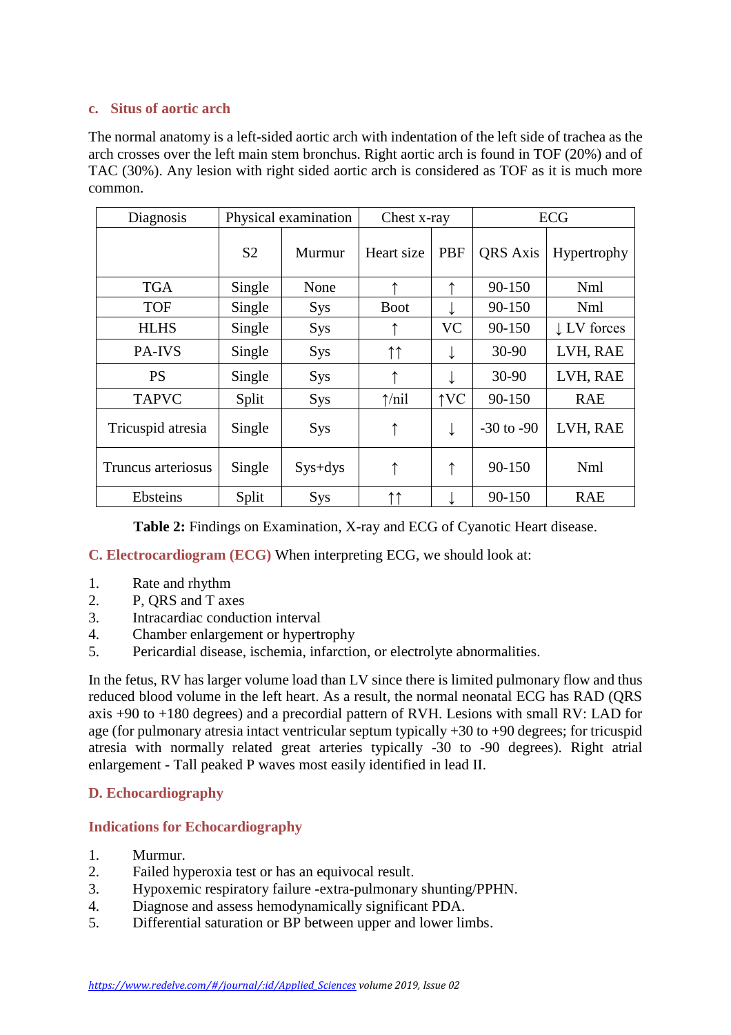#### **c. Situs of aortic arch**

The normal anatomy is a left-sided aortic arch with indentation of the left side of trachea as the arch crosses over the left main stem bronchus. Right aortic arch is found in TOF (20%) and of TAC (30%). Any lesion with right sided aortic arch is considered as TOF as it is much more common.

| Diagnosis          | Physical examination |            | Chest x-ray     |               | <b>ECG</b>      |                        |
|--------------------|----------------------|------------|-----------------|---------------|-----------------|------------------------|
|                    | S <sub>2</sub>       | Murmur     | Heart size      | PBF           | <b>QRS</b> Axis | Hypertrophy            |
| <b>TGA</b>         | Single               | None       |                 |               | 90-150          | <b>Nml</b>             |
| <b>TOF</b>         | Single               | <b>Sys</b> | <b>Boot</b>     |               | 90-150          | Nml                    |
| <b>HLHS</b>        | Single               | <b>Sys</b> |                 | <b>VC</b>     | 90-150          | $\downarrow$ LV forces |
| PA-IVS             | Single               | <b>Sys</b> | ↑↑              |               | 30-90           | LVH, RAE               |
| <b>PS</b>          | Single               | <b>Sys</b> | ↑               |               | 30-90           | LVH, RAE               |
| <b>TAPVC</b>       | Split                | <b>Sys</b> | $\uparrow$ /nil | $\uparrow$ VC | 90-150          | <b>RAE</b>             |
| Tricuspid atresia  | Single               | <b>Sys</b> | ↑               | ↓             | $-30$ to $-90$  | LVH, RAE               |
| Truncus arteriosus | Single               | $Sys+dys$  |                 | ↑             | 90-150          | Nml                    |
| Ebsteins           | Split                | <b>Sys</b> | ↑↑              |               | 90-150          | <b>RAE</b>             |

**Table 2:** Findings on Examination, X-ray and ECG of Cyanotic Heart disease.

# **C. Electrocardiogram (ECG)** When interpreting ECG, we should look at:

- 1. Rate and rhythm<br>2. P. ORS and T axe
- 2. P, QRS and T axes
- 3. Intracardiac conduction interval
- 4. Chamber enlargement or hypertrophy
- 5. Pericardial disease, ischemia, infarction, or electrolyte abnormalities.

In the fetus, RV has larger volume load than LV since there is limited pulmonary flow and thus reduced blood volume in the left heart. As a result, the normal neonatal ECG has RAD (QRS axis +90 to +180 degrees) and a precordial pattern of RVH. Lesions with small RV: LAD for age (for pulmonary atresia intact ventricular septum typically +30 to +90 degrees; for tricuspid atresia with normally related great arteries typically -30 to -90 degrees). Right atrial enlargement - Tall peaked P waves most easily identified in lead II.

## **D. Echocardiography**

## **Indications for Echocardiography**

- 1. Murmur.
- 2. Failed hyperoxia test or has an equivocal result.
- 3. Hypoxemic respiratory failure -extra-pulmonary shunting/PPHN.
- 4. Diagnose and assess hemodynamically significant PDA.
- 5. Differential saturation or BP between upper and lower limbs.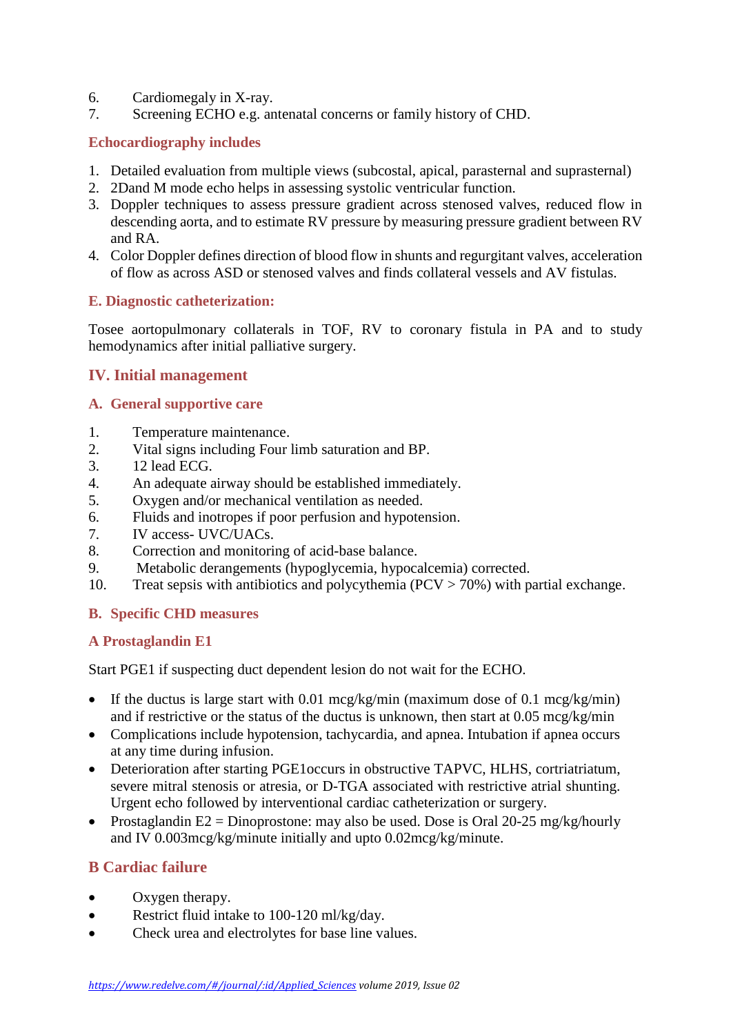- 6. Cardiomegaly in X-ray.
- 7. Screening ECHO e.g. antenatal concerns or family history of CHD.

#### **Echocardiography includes**

- 1. Detailed evaluation from multiple views (subcostal, apical, parasternal and suprasternal)
- 2. 2Dand M mode echo helps in assessing systolic ventricular function.
- 3. Doppler techniques to assess pressure gradient across stenosed valves, reduced flow in descending aorta, and to estimate RV pressure by measuring pressure gradient between RV and RA.
- 4. Color Doppler defines direction of blood flow in shunts and regurgitant valves, acceleration of flow as across ASD or stenosed valves and finds collateral vessels and AV fistulas.

#### **E. Diagnostic catheterization:**

Tosee aortopulmonary collaterals in TOF, RV to coronary fistula in PA and to study hemodynamics after initial palliative surgery.

## **IV. Initial management**

#### **A. General supportive care**

- 1. Temperature maintenance.
- 2. Vital signs including Four limb saturation and BP.
- 3. 12 lead ECG.
- 4. An adequate airway should be established immediately.
- 5. Oxygen and/or mechanical ventilation as needed.
- 6. Fluids and inotropes if poor perfusion and hypotension.
- 7. IV access- UVC/UACs.
- 8. Correction and monitoring of acid-base balance.
- 9. Metabolic derangements (hypoglycemia, hypocalcemia) corrected.
- 10. Treat sepsis with antibiotics and polycythemia (PCV > 70%) with partial exchange.

#### **B. Specific CHD measures**

#### **A Prostaglandin E1**

Start PGE1 if suspecting duct dependent lesion do not wait for the ECHO.

- If the ductus is large start with 0.01 mcg/kg/min (maximum dose of 0.1 mcg/kg/min) and if restrictive or the status of the ductus is unknown, then start at 0.05 mcg/kg/min
- Complications include hypotension, tachycardia, and apnea. Intubation if apnea occurs at any time during infusion.
- Deterioration after starting PGE1occurs in obstructive TAPVC, HLHS, cortriatriatum, severe mitral stenosis or atresia, or D-TGA associated with restrictive atrial shunting. Urgent echo followed by interventional cardiac catheterization or surgery.
- Prostaglandin E2 = Dinoprostone: may also be used. Dose is Oral 20-25 mg/kg/hourly and IV 0.003mcg/kg/minute initially and upto 0.02mcg/kg/minute.

## **B Cardiac failure**

- Oxygen therapy.
- Restrict fluid intake to 100-120 ml/kg/day.
- Check urea and electrolytes for base line values.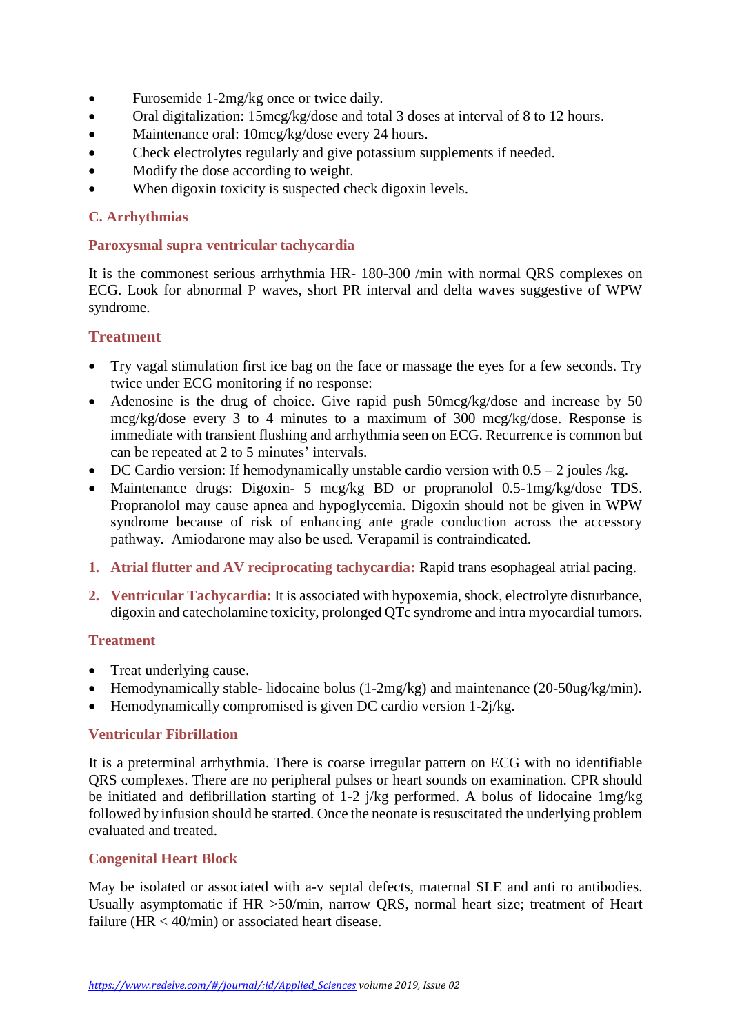- Furosemide 1-2mg/kg once or twice daily.
- Oral digitalization: 15mcg/kg/dose and total 3 doses at interval of 8 to 12 hours.
- Maintenance oral: 10mcg/kg/dose every 24 hours.
- Check electrolytes regularly and give potassium supplements if needed.
- Modify the dose according to weight.
- When digoxin toxicity is suspected check digoxin levels.

#### **C. Arrhythmias**

#### **Paroxysmal supra ventricular tachycardia**

It is the commonest serious arrhythmia HR- 180-300 /min with normal QRS complexes on ECG. Look for abnormal P waves, short PR interval and delta waves suggestive of WPW syndrome.

#### **Treatment**

- Try vagal stimulation first ice bag on the face or massage the eyes for a few seconds. Try twice under ECG monitoring if no response:
- Adenosine is the drug of choice. Give rapid push 50mcg/kg/dose and increase by 50 mcg/kg/dose every 3 to 4 minutes to a maximum of 300 mcg/kg/dose. Response is immediate with transient flushing and arrhythmia seen on ECG. Recurrence is common but can be repeated at 2 to 5 minutes' intervals.
- DC Cardio version: If hemodynamically unstable cardio version with  $0.5 2$  joules /kg.
- Maintenance drugs: Digoxin- 5 mcg/kg BD or propranolol 0.5-1mg/kg/dose TDS. Propranolol may cause apnea and hypoglycemia. Digoxin should not be given in WPW syndrome because of risk of enhancing ante grade conduction across the accessory pathway. Amiodarone may also be used. Verapamil is contraindicated.
- **1. Atrial flutter and AV reciprocating tachycardia:** Rapid trans esophageal atrial pacing.
- **2. Ventricular Tachycardia:** It is associated with hypoxemia, shock, electrolyte disturbance, digoxin and catecholamine toxicity, prolonged QTc syndrome and intra myocardial tumors.

#### **Treatment**

- Treat underlying cause.
- Hemodynamically stable- lidocaine bolus (1-2mg/kg) and maintenance (20-50ug/kg/min).
- Hemodynamically compromised is given DC cardio version 1-2j/kg.

#### **Ventricular Fibrillation**

It is a preterminal arrhythmia. There is coarse irregular pattern on ECG with no identifiable QRS complexes. There are no peripheral pulses or heart sounds on examination. CPR should be initiated and defibrillation starting of 1-2 j/kg performed. A bolus of lidocaine 1mg/kg followed by infusion should be started. Once the neonate is resuscitated the underlying problem evaluated and treated.

#### **Congenital Heart Block**

May be isolated or associated with a-v septal defects, maternal SLE and anti ro antibodies. Usually asymptomatic if HR >50/min, narrow QRS, normal heart size; treatment of Heart failure (HR < 40/min) or associated heart disease.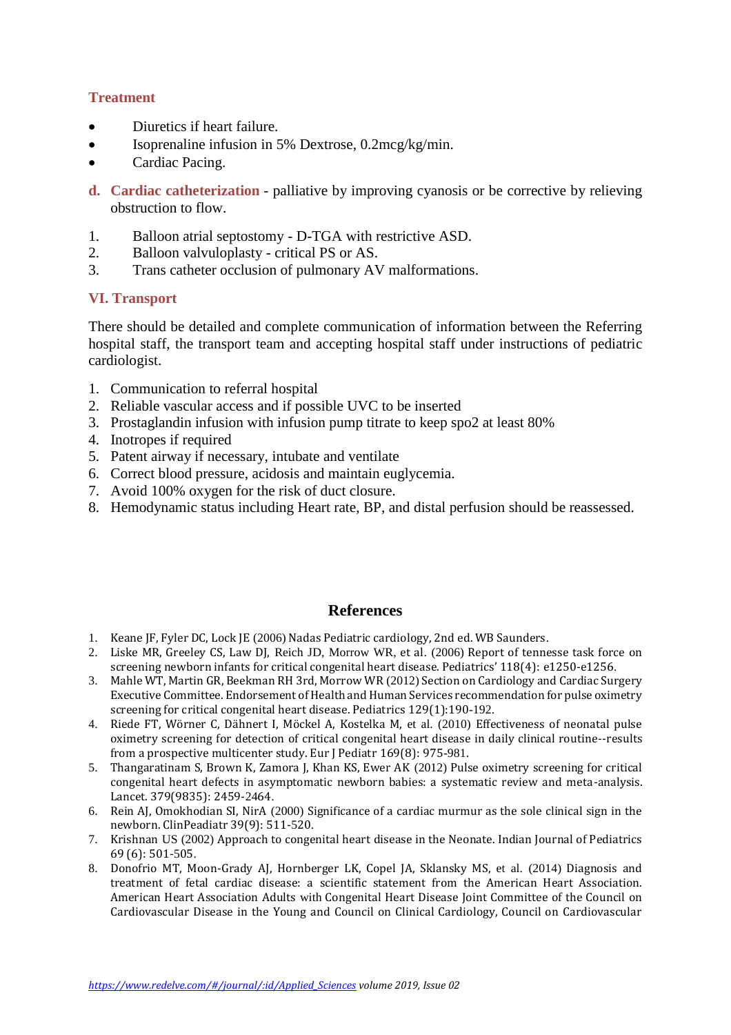## **Treatment**

- Diuretics if heart failure.
- Isoprenaline infusion in 5% Dextrose, 0.2mcg/kg/min.
- Cardiac Pacing.
- **d. Cardiac catheterization** palliative by improving cyanosis or be corrective by relieving obstruction to flow.
- 1. Balloon atrial septostomy D-TGA with restrictive ASD.
- 2. Balloon valvuloplasty critical PS or AS.
- 3. Trans catheter occlusion of pulmonary AV malformations.

## **VI. Transport**

There should be detailed and complete communication of information between the Referring hospital staff, the transport team and accepting hospital staff under instructions of pediatric cardiologist.

- 1. Communication to referral hospital
- 2. Reliable vascular access and if possible UVC to be inserted
- 3. Prostaglandin infusion with infusion pump titrate to keep spo2 at least 80%
- 4. Inotropes if required
- 5. Patent airway if necessary, intubate and ventilate
- 6. Correct blood pressure, acidosis and maintain euglycemia.
- 7. Avoid 100% oxygen for the risk of duct closure.
- 8. Hemodynamic status including Heart rate, BP, and distal perfusion should be reassessed.

## **References**

- 1. Keane JF, Fyler DC, Lock JE (2006) [Nadas Pediatric cardiology, 2nd](https://www.elsevier.com/books/nadas-pediatric-cardiology/keane/978-1-4160-2390-6) ed. WB Saunders.
- 2. [Liske MR, Greeley CS, Law DJ,](https://pediatrics.aappublications.org/content/118/4/e1250.comments) Reich JD, Morrow WR, et al. (2006) Report of tennesse task force on [screening newborn infants for critical congenital heart disease. Pediatrics' 118\(4\):](https://pediatrics.aappublications.org/content/118/4/e1250.comments) e1250-e1256.
- 3. [Mahle WT, Martin GR, Beekman RH 3rd, Morrow WR](https://www.researchgate.net/publication/313609717_Section_on_Cardiology_and_Cardiac_Surgery_Executive_Committee_Endorsement_of_Health_andHuman_Services_recommendation_for_pulse_oximetry_screening_for_critical_congenital_heart_disease) (2012) Section on Cardiology and Cardiac Surgery [Executive Committee. Endorsement of Health and Human Services recommendation for pulse oximetry](https://www.researchgate.net/publication/313609717_Section_on_Cardiology_and_Cardiac_Surgery_Executive_Committee_Endorsement_of_Health_andHuman_Services_recommendation_for_pulse_oximetry_screening_for_critical_congenital_heart_disease)  [screening for critical congenital heart disease. Pediatrics](https://www.researchgate.net/publication/313609717_Section_on_Cardiology_and_Cardiac_Surgery_Executive_Committee_Endorsement_of_Health_andHuman_Services_recommendation_for_pulse_oximetry_screening_for_critical_congenital_heart_disease) 129(1):190-192.
- 4. [Riede FT, Wörner C, Dähnert I, Möckel A, Kostelka M,](https://www.ncbi.nlm.nih.gov/pubmed/20195633) et al. (2010) Effectiveness of neonatal pulse [oximetry screening for detection of critical congenital heart disease in daily clinical routine--results](https://www.ncbi.nlm.nih.gov/pubmed/20195633)  [from a prospective multicenter study. Eur J Pediatr](https://www.ncbi.nlm.nih.gov/pubmed/20195633) 169(8): 975-981.
- 5. [Thangaratinam S, Brown K, Zamora J, Khan KS, Ewer AK](https://www.ncbi.nlm.nih.gov/pubmed/22554860) (2012) Pulse oximetry screening for critical [congenital heart defects in asymptomatic newborn babies: a systematic review and meta-analysis.](https://www.ncbi.nlm.nih.gov/pubmed/22554860)  [Lancet. 379\(9835\):](https://www.ncbi.nlm.nih.gov/pubmed/22554860) 2459-2464.
- 6. Rein AJ, Omokhodian SI, NirA (2000) [Significance of a cardiac murmur as the sole clinical sign in the](https://www.ncbi.nlm.nih.gov/pubmed/11005364)  [newborn. ClinPeadiatr 39\(9\): 511-](https://www.ncbi.nlm.nih.gov/pubmed/11005364)520.
- 7. Krishnan US (2002) [Approach to congenital heart disease in the Neonate. Indian Journal of Pediatrics](https://www.ncbi.nlm.nih.gov/pubmed/12139136)  [69 \(6\):](https://www.ncbi.nlm.nih.gov/pubmed/12139136) 501-505.
- 8. [Donofrio MT, Moon-Grady AJ, Hornberger LK, Copel JA, Sklansky MS,](https://www.ncbi.nlm.nih.gov/pubmed/24763516) et al. (2014) Diagnosis and treatment of fetal cardiac disease: a [scientific statement from the American Heart Association.](https://www.ncbi.nlm.nih.gov/pubmed/24763516)  American Heart Association Adults with [Congenital Heart Disease Joint Committee of the Council on](https://www.ncbi.nlm.nih.gov/pubmed/24763516)  [Cardiovascular Disease in the Young and Council on Clinical Cardiology, Council on Cardiovascular](https://www.ncbi.nlm.nih.gov/pubmed/24763516)